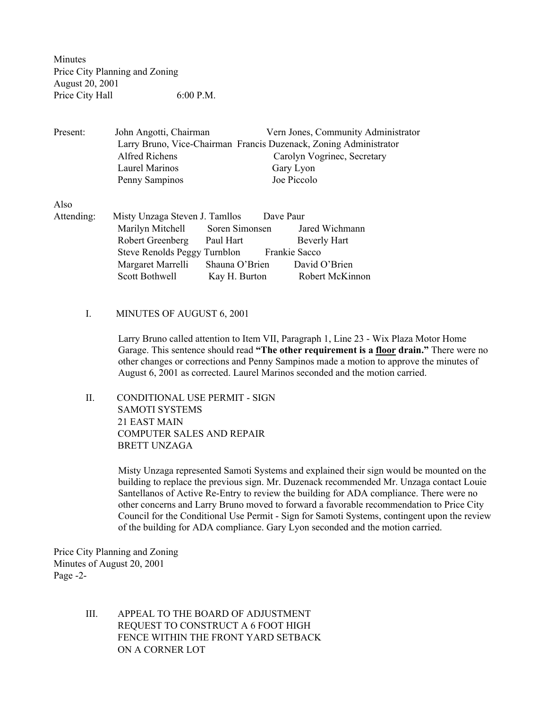Minutes Price City Planning and Zoning August 20, 2001 Price City Hall 6:00 P.M.

Present: John Angotti, Chairman Vern Jones, Community Administrator Larry Bruno, Vice-Chairman Francis Duzenack, Zoning Administrator Alfred Richens Carolyn Vogrinec, Secretary Laurel Marinos Gary Lyon Penny Sampinos Joe Piccolo

Also

- Attending: Misty Unzaga Steven J. Tamllos Dave Paur Marilyn Mitchell Soren Simonsen Jared Wichmann Robert Greenberg Paul Hart Beverly Hart Steve Renolds Peggy Turnblon Frankie Sacco Margaret Marrelli Shauna O'Brien David O'Brien Scott Bothwell Kay H. Burton Robert McKinnon
	- I. MINUTES OF AUGUST 6, 2001

Larry Bruno called attention to Item VII, Paragraph 1, Line 23 - Wix Plaza Motor Home Garage. This sentence should read "The other requirement is a floor drain." There were no other changes or corrections and Penny Sampinos made a motion to approve the minutes of August 6, 2001 as corrected. Laurel Marinos seconded and the motion carried.

 II. CONDITIONAL USE PERMIT - SIGN SAMOTI SYSTEMS 21 EAST MAIN COMPUTER SALES AND REPAIR BRETT UNZAGA

> Misty Unzaga represented Samoti Systems and explained their sign would be mounted on the building to replace the previous sign. Mr. Duzenack recommended Mr. Unzaga contact Louie Santellanos of Active Re-Entry to review the building for ADA compliance. There were no other concerns and Larry Bruno moved to forward a favorable recommendation to Price City Council for the Conditional Use Permit - Sign for Samoti Systems, contingent upon the review of the building for ADA compliance. Gary Lyon seconded and the motion carried.

Price City Planning and Zoning Minutes of August 20, 2001 Page -2-

> III. APPEAL TO THE BOARD OF ADJUSTMENT REQUEST TO CONSTRUCT A 6 FOOT HIGH FENCE WITHIN THE FRONT YARD SETBACK ON A CORNER LOT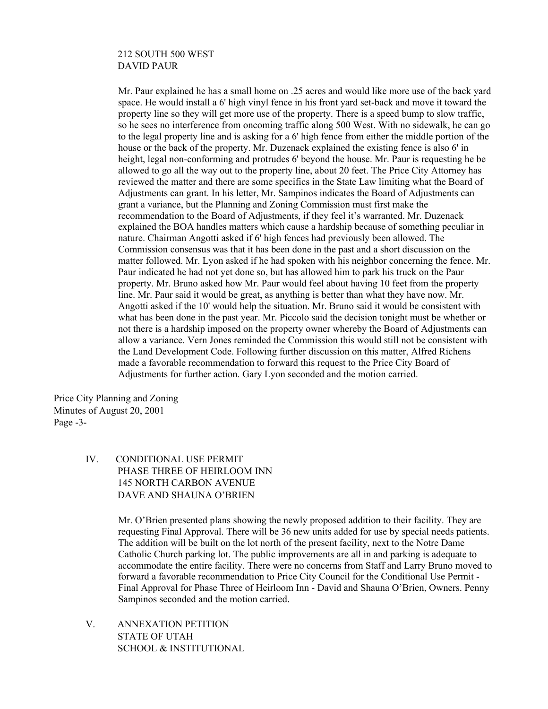## 212 SOUTH 500 WEST DAVID PAUR

Mr. Paur explained he has a small home on .25 acres and would like more use of the back yard space. He would install a 6' high vinyl fence in his front yard set-back and move it toward the property line so they will get more use of the property. There is a speed bump to slow traffic, so he sees no interference from oncoming traffic along 500 West. With no sidewalk, he can go to the legal property line and is asking for a 6' high fence from either the middle portion of the house or the back of the property. Mr. Duzenack explained the existing fence is also 6' in height, legal non-conforming and protrudes 6' beyond the house. Mr. Paur is requesting he be allowed to go all the way out to the property line, about 20 feet. The Price City Attorney has reviewed the matter and there are some specifics in the State Law limiting what the Board of Adjustments can grant. In his letter, Mr. Sampinos indicates the Board of Adjustments can grant a variance, but the Planning and Zoning Commission must first make the recommendation to the Board of Adjustments, if they feel it's warranted. Mr. Duzenack explained the BOA handles matters which cause a hardship because of something peculiar in nature. Chairman Angotti asked if 6' high fences had previously been allowed. The Commission consensus was that it has been done in the past and a short discussion on the matter followed. Mr. Lyon asked if he had spoken with his neighbor concerning the fence. Mr. Paur indicated he had not yet done so, but has allowed him to park his truck on the Paur property. Mr. Bruno asked how Mr. Paur would feel about having 10 feet from the property line. Mr. Paur said it would be great, as anything is better than what they have now. Mr. Angotti asked if the 10' would help the situation. Mr. Bruno said it would be consistent with what has been done in the past year. Mr. Piccolo said the decision tonight must be whether or not there is a hardship imposed on the property owner whereby the Board of Adjustments can allow a variance. Vern Jones reminded the Commission this would still not be consistent with the Land Development Code. Following further discussion on this matter, Alfred Richens made a favorable recommendation to forward this request to the Price City Board of Adjustments for further action. Gary Lyon seconded and the motion carried.

Price City Planning and Zoning Minutes of August 20, 2001 Page -3-

> IV. CONDITIONAL USE PERMIT PHASE THREE OF HEIRLOOM INN 145 NORTH CARBON AVENUE DAVE AND SHAUNA O'BRIEN

> > Mr. O'Brien presented plans showing the newly proposed addition to their facility. They are requesting Final Approval. There will be 36 new units added for use by special needs patients. The addition will be built on the lot north of the present facility, next to the Notre Dame Catholic Church parking lot. The public improvements are all in and parking is adequate to accommodate the entire facility. There were no concerns from Staff and Larry Bruno moved to forward a favorable recommendation to Price City Council for the Conditional Use Permit - Final Approval for Phase Three of Heirloom Inn - David and Shauna O'Brien, Owners. Penny Sampinos seconded and the motion carried.

 V. ANNEXATION PETITION STATE OF UTAH SCHOOL & INSTITUTIONAL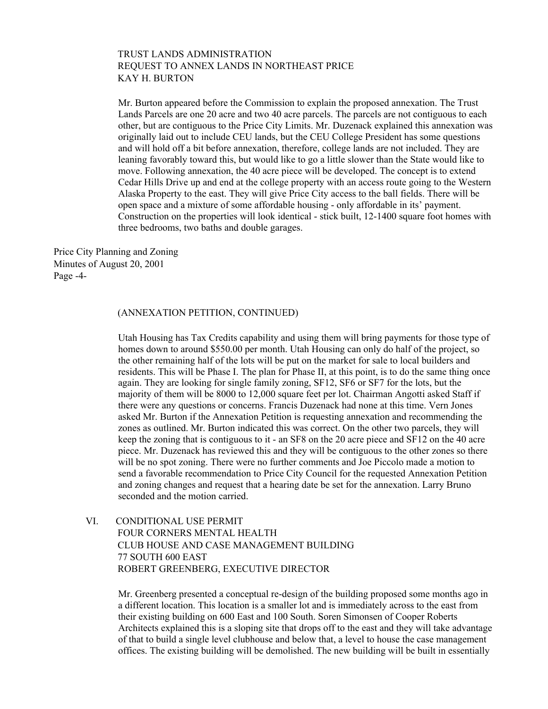## TRUST LANDS ADMINISTRATION REQUEST TO ANNEX LANDS IN NORTHEAST PRICE KAY H. BURTON

Mr. Burton appeared before the Commission to explain the proposed annexation. The Trust Lands Parcels are one 20 acre and two 40 acre parcels. The parcels are not contiguous to each other, but are contiguous to the Price City Limits. Mr. Duzenack explained this annexation was originally laid out to include CEU lands, but the CEU College President has some questions and will hold off a bit before annexation, therefore, college lands are not included. They are leaning favorably toward this, but would like to go a little slower than the State would like to move. Following annexation, the 40 acre piece will be developed. The concept is to extend Cedar Hills Drive up and end at the college property with an access route going to the Western Alaska Property to the east. They will give Price City access to the ball fields. There will be open space and a mixture of some affordable housing - only affordable in its' payment. Construction on the properties will look identical - stick built, 12-1400 square foot homes with three bedrooms, two baths and double garages.

Price City Planning and Zoning Minutes of August 20, 2001 Page -4-

#### (ANNEXATION PETITION, CONTINUED)

Utah Housing has Tax Credits capability and using them will bring payments for those type of homes down to around \$550.00 per month. Utah Housing can only do half of the project, so the other remaining half of the lots will be put on the market for sale to local builders and residents. This will be Phase I. The plan for Phase II, at this point, is to do the same thing once again. They are looking for single family zoning, SF12, SF6 or SF7 for the lots, but the majority of them will be 8000 to 12,000 square feet per lot. Chairman Angotti asked Staff if there were any questions or concerns. Francis Duzenack had none at this time. Vern Jones asked Mr. Burton if the Annexation Petition is requesting annexation and recommending the zones as outlined. Mr. Burton indicated this was correct. On the other two parcels, they will keep the zoning that is contiguous to it - an SF8 on the 20 acre piece and SF12 on the 40 acre piece. Mr. Duzenack has reviewed this and they will be contiguous to the other zones so there will be no spot zoning. There were no further comments and Joe Piccolo made a motion to send a favorable recommendation to Price City Council for the requested Annexation Petition and zoning changes and request that a hearing date be set for the annexation. Larry Bruno seconded and the motion carried.

 VI. CONDITIONAL USE PERMIT FOUR CORNERS MENTAL HEALTH CLUB HOUSE AND CASE MANAGEMENT BUILDING 77 SOUTH 600 EAST ROBERT GREENBERG, EXECUTIVE DIRECTOR

> Mr. Greenberg presented a conceptual re-design of the building proposed some months ago in a different location. This location is a smaller lot and is immediately across to the east from their existing building on 600 East and 100 South. Soren Simonsen of Cooper Roberts Architects explained this is a sloping site that drops off to the east and they will take advantage of that to build a single level clubhouse and below that, a level to house the case management offices. The existing building will be demolished. The new building will be built in essentially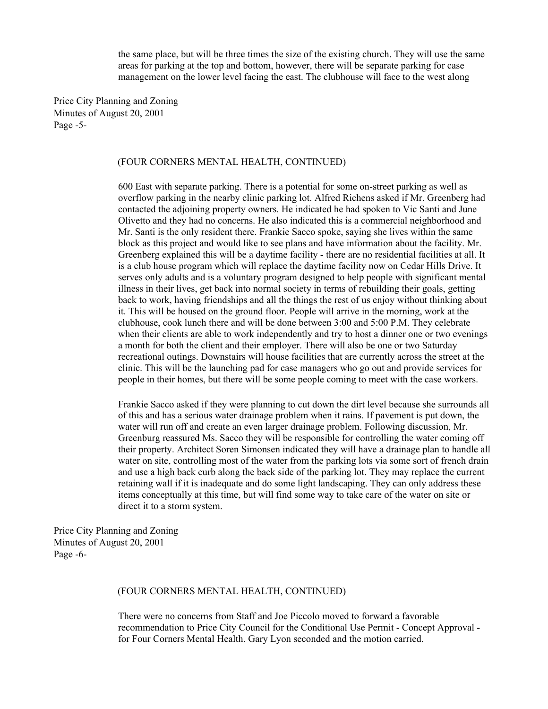the same place, but will be three times the size of the existing church. They will use the same areas for parking at the top and bottom, however, there will be separate parking for case management on the lower level facing the east. The clubhouse will face to the west along

Price City Planning and Zoning Minutes of August 20, 2001 Page -5-

### (FOUR CORNERS MENTAL HEALTH, CONTINUED)

600 East with separate parking. There is a potential for some on-street parking as well as overflow parking in the nearby clinic parking lot. Alfred Richens asked if Mr. Greenberg had contacted the adjoining property owners. He indicated he had spoken to Vic Santi and June Olivetto and they had no concerns. He also indicated this is a commercial neighborhood and Mr. Santi is the only resident there. Frankie Sacco spoke, saying she lives within the same block as this project and would like to see plans and have information about the facility. Mr. Greenberg explained this will be a daytime facility - there are no residential facilities at all. It is a club house program which will replace the daytime facility now on Cedar Hills Drive. It serves only adults and is a voluntary program designed to help people with significant mental illness in their lives, get back into normal society in terms of rebuilding their goals, getting back to work, having friendships and all the things the rest of us enjoy without thinking about it. This will be housed on the ground floor. People will arrive in the morning, work at the clubhouse, cook lunch there and will be done between 3:00 and 5:00 P.M. They celebrate when their clients are able to work independently and try to host a dinner one or two evenings a month for both the client and their employer. There will also be one or two Saturday recreational outings. Downstairs will house facilities that are currently across the street at the clinic. This will be the launching pad for case managers who go out and provide services for people in their homes, but there will be some people coming to meet with the case workers.

Frankie Sacco asked if they were planning to cut down the dirt level because she surrounds all of this and has a serious water drainage problem when it rains. If pavement is put down, the water will run off and create an even larger drainage problem. Following discussion, Mr. Greenburg reassured Ms. Sacco they will be responsible for controlling the water coming off their property. Architect Soren Simonsen indicated they will have a drainage plan to handle all water on site, controlling most of the water from the parking lots via some sort of french drain and use a high back curb along the back side of the parking lot. They may replace the current retaining wall if it is inadequate and do some light landscaping. They can only address these items conceptually at this time, but will find some way to take care of the water on site or direct it to a storm system.

Price City Planning and Zoning Minutes of August 20, 2001 Page -6-

### (FOUR CORNERS MENTAL HEALTH, CONTINUED)

There were no concerns from Staff and Joe Piccolo moved to forward a favorable recommendation to Price City Council for the Conditional Use Permit - Concept Approval for Four Corners Mental Health. Gary Lyon seconded and the motion carried.